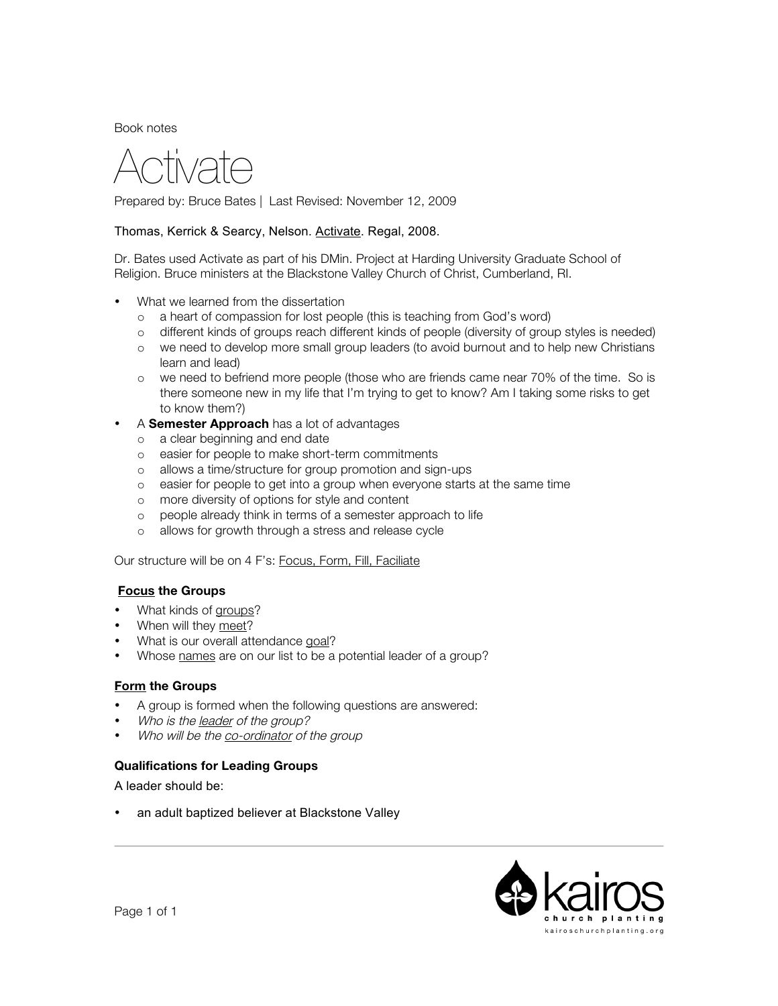Book notes

Activate

Prepared by: Bruce Bates | Last Revised: November 12, 2009

## Thomas, Kerrick & Searcy, Nelson. Activate. Regal, 2008.

Dr. Bates used Activate as part of his DMin. Project at Harding University Graduate School of Religion. Bruce ministers at the Blackstone Valley Church of Christ, Cumberland, RI.

- What we learned from the dissertation
	- o a heart of compassion for lost people (this is teaching from God's word)
	- o different kinds of groups reach different kinds of people (diversity of group styles is needed)
	- o we need to develop more small group leaders (to avoid burnout and to help new Christians learn and lead)
	- o we need to befriend more people (those who are friends came near 70% of the time. So is there someone new in my life that I'm trying to get to know? Am I taking some risks to get to know them?)
- A **Semester Approach** has a lot of advantages
	- o a clear beginning and end date
	- o easier for people to make short-term commitments
	- o allows a time/structure for group promotion and sign-ups
	- o easier for people to get into a group when everyone starts at the same time
	- o more diversity of options for style and content
	- o people already think in terms of a semester approach to life
	- o allows for growth through a stress and release cycle

Our structure will be on 4 F's: Focus, Form, Fill, Faciliate

# Focus the Groups

- What kinds of groups?
- When will they meet?
- What is our overall attendance goal?
- Whose names are on our list to be a potential leader of a group?

### Form the Groups

- A group is formed when the following questions are answered:
- Who is the leader of the group?
- Who will be the co-ordinator of the group

### Qualifications for Leading Groups

A leader should be:

an adult baptized believer at Blackstone Valley